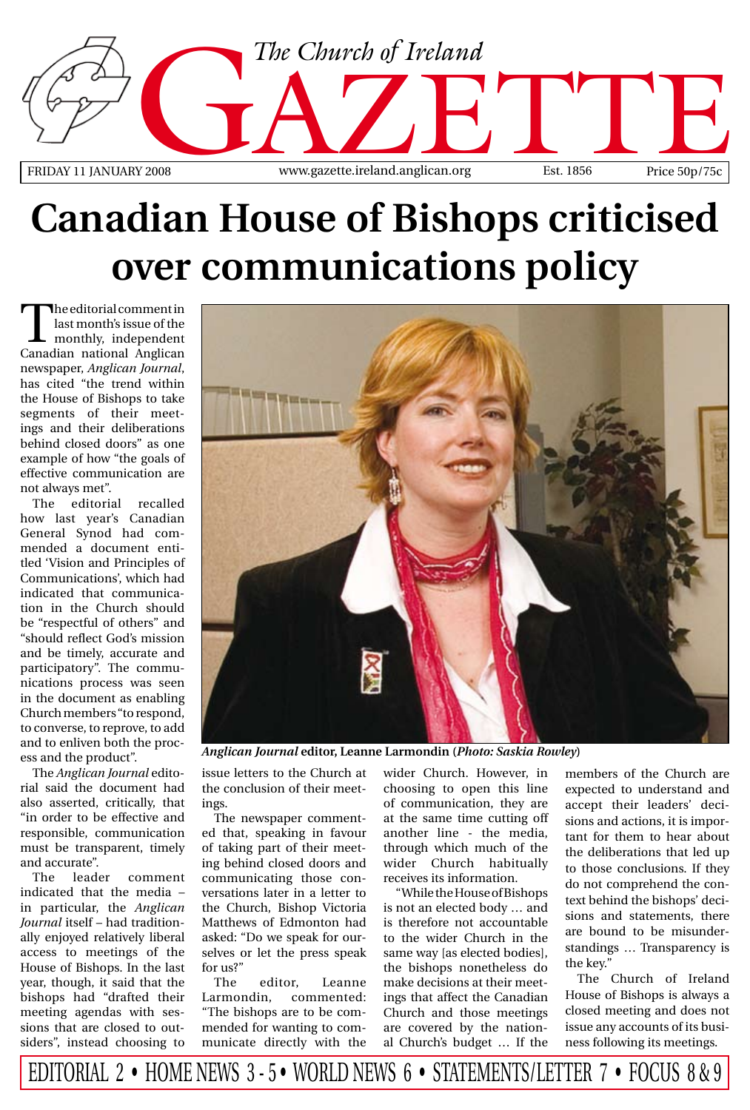

# **Canadian House of Bishops criticised over communications policy**

The editorial comment in<br>last monthly, independent<br>Canadian national Anglican last month's issue of the monthly, independent Canadian national Anglican newspaper, *Anglican Journal*, has cited "the trend within the House of Bishops to take segments of their meetings and their deliberations behind closed doors" as one example of how "the goals of effective communication are not always met".

The editorial recalled how last year's Canadian General Synod had commended a document entitled 'Vision and Principles of Communications', which had indicated that communication in the Church should be "respectful of others" and "should reflect God's mission and be timely, accurate and participatory". The communications process was seen in the document as enabling Church members "to respond, to converse, to reprove, to add and to enliven both the process and the product".

The *Anglican Journal* editorial said the document had also asserted, critically, that "in order to be effective and responsible, communication must be transparent, timely and accurate".

The leader comment indicated that the media – in particular, the *Anglican Journal* itself – had traditionally enjoyed relatively liberal access to meetings of the House of Bishops. In the last year, though, it said that the bishops had "drafted their meeting agendas with sessions that are closed to outsiders", instead choosing to



*Anglican Journal* **editor, Leanne Larmondin (***Photo: Saskia Rowley***)**

issue letters to the Church at the conclusion of their meetings.

The newspaper commented that, speaking in favour of taking part of their meeting behind closed doors and communicating those conversations later in a letter to the Church, Bishop Victoria Matthews of Edmonton had asked: "Do we speak for ourselves or let the press speak for us?"

The editor, Leanne Larmondin, commented: "The bishops are to be commended for wanting to communicate directly with the

wider Church. However, in choosing to open this line of communication, they are at the same time cutting off another line - the media, through which much of the wider Church habitually receives its information.

"While the House of Bishops is not an elected body … and is therefore not accountable to the wider Church in the same way [as elected bodies], the bishops nonetheless do make decisions at their meetings that affect the Canadian Church and those meetings are covered by the national Church's budget … If the members of the Church are expected to understand and accept their leaders' decisions and actions, it is important for them to hear about the deliberations that led up to those conclusions. If they do not comprehend the context behind the bishops' decisions and statements, there are bound to be misunderstandings … Transparency is the key."

The Church of Ireland House of Bishops is always a closed meeting and does not issue any accounts of its business following its meetings.

editorial 2 • Home news 3 - 5 • World news 6 • Statements/Letter 7 • Focus 8 & 9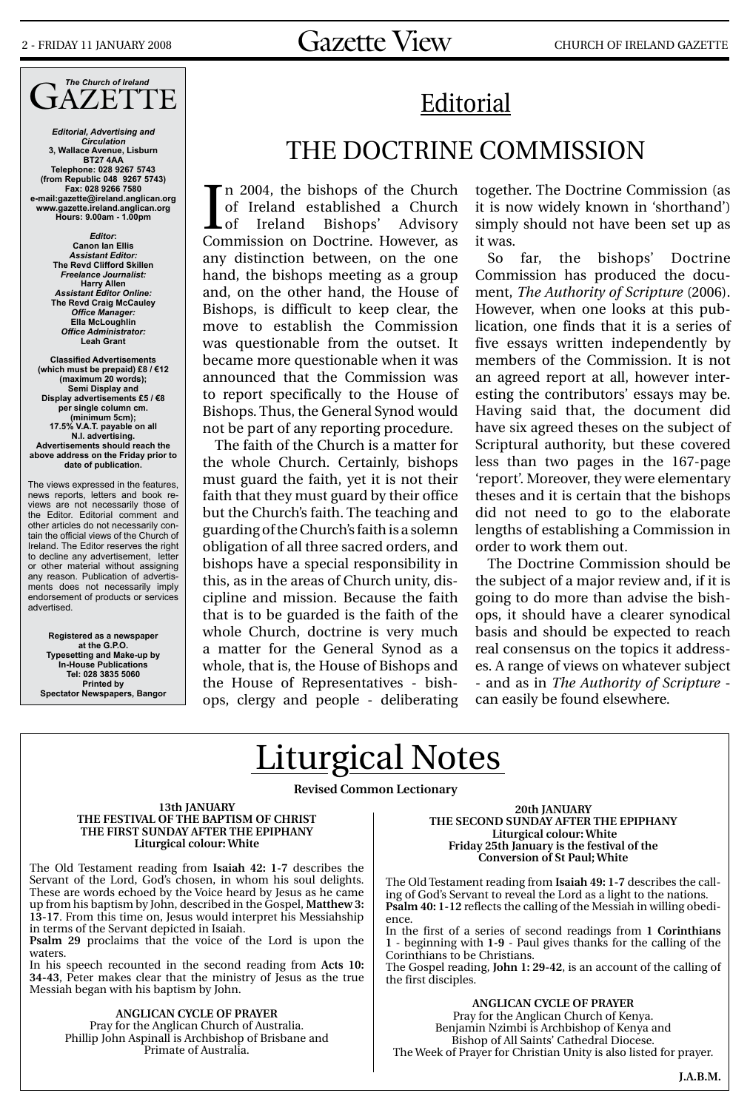## 2 - FRIDAY 11 JANUARY 2008  $Gazette$   $View$  church of Ireland gazette

### *The Church of Ireland* JAZETTE

*Editorial, Advertising and Circulation* **3, Wallace Avenue, Lisburn BT27 4AA Telephone: 028 9267 5743 (from Republic 048 9267 5743) Fax: 028 9266 7580 e-mail:gazette@ireland.anglican.org www.gazette.ireland.anglican.org Hours: 9.00am - 1.00pm**

> *Editor***: Canon Ian Ellis** *Assistant Editor:* **The Revd Clifford Skillen** *Freelance Journalist:* **Harry Allen** *Assistant Editor Online:* **The Revd Craig McCauley** *Office Manager:* **Ella McLoughlin** *Office Administrator:* **Leah Grant**

**Classified Advertisements (which must be prepaid) £8 / €12 (maximum 20 words); Semi Display and Display advertisements £5 / €8 per single column cm. (minimum 5cm); 17.5% V.A.T. payable on all N.I. advertising. Advertisements should reach the above address on the Friday prior to date of publication.**

The views expressed in the features, news reports, letters and book reviews are not necessarily those of the Editor. Editorial comment and other articles do not necessarily contain the official views of the Church of Ireland. The Editor reserves the right to decline any advertisement, letter or other material without assigning any reason. Publication of advertisments does not necessarily imply endorsement of products or services advertised.

**Registered as a newspaper at the G.P.O. Typesetting and Make-up by In-House Publications Tel: 028 3835 5060 Printed by Spectator Newspapers, Bangor**

# Editorial

### THE DOCTRINE COMMISSION

In 2004, the bishops of the Church<br>of Ireland established a Church<br>Commission on Doctrine. However, as n 2004, the bishops of the Church of Ireland established a Church Lof Ireland Bishops' Advisory any distinction between, on the one hand, the bishops meeting as a group and, on the other hand, the House of Bishops, is difficult to keep clear, the move to establish the Commission was questionable from the outset. It became more questionable when it was announced that the Commission was to report specifically to the House of Bishops. Thus, the General Synod would not be part of any reporting procedure.

The faith of the Church is a matter for the whole Church. Certainly, bishops must guard the faith, yet it is not their faith that they must guard by their office but the Church's faith. The teaching and guarding of the Church's faith is a solemn obligation of all three sacred orders, and bishops have a special responsibility in this, as in the areas of Church unity, discipline and mission. Because the faith that is to be guarded is the faith of the whole Church, doctrine is very much a matter for the General Synod as a whole, that is, the House of Bishops and the House of Representatives - bishops, clergy and people - deliberating together. The Doctrine Commission (as it is now widely known in 'shorthand') simply should not have been set up as it was.

So far, the bishops' Doctrine Commission has produced the document, *The Authority of Scripture* (2006). However, when one looks at this publication, one finds that it is a series of five essays written independently by members of the Commission. It is not an agreed report at all, however interesting the contributors' essays may be. Having said that, the document did have six agreed theses on the subject of Scriptural authority, but these covered less than two pages in the 167-page 'report'. Moreover, they were elementary theses and it is certain that the bishops did not need to go to the elaborate lengths of establishing a Commission in order to work them out.

The Doctrine Commission should be the subject of a major review and, if it is going to do more than advise the bishops, it should have a clearer synodical basis and should be expected to reach real consensus on the topics it addresses. A range of views on whatever subject - and as in *The Authority of Scripture* can easily be found elsewhere.

# Liturgical Notes

**Revised Common Lectionary** 

**13th January The Festival of the Baptism of Christ The First Sunday after The Epiphany Liturgical colour: White**

The Old Testament reading from **Isaiah 42: 1-7** describes the Servant of the Lord, God's chosen, in whom his soul delights. These are words echoed by the Voice heard by Jesus as he came up from his baptism by John, described in the Gospel, **Matthew 3: 13-17**. From this time on, Jesus would interpret his Messiahship in terms of the Servant depicted in Isaiah.

**Psalm 29** proclaims that the voice of the Lord is upon the waters.

In his speech recounted in the second reading from **Acts 10: 34-43**, Peter makes clear that the ministry of Jesus as the true Messiah began with his baptism by John.

> **ANGLICAN CYCLE OF PRAYER** Pray for the Anglican Church of Australia. Phillip John Aspinall is Archbishop of Brisbane and Primate of Australia.

**20th January The Second Sunday after The Epiphany Liturgical colour: White Friday 25th January is the festival of the Conversion of St Paul; White**

The Old Testament reading from **Isaiah 49: 1-7** describes the calling of God's Servant to reveal the Lord as a light to the nations. **Psalm 40: 1-12** reflects the calling of the Messiah in willing obedience.

In the first of a series of second readings from **1 Corinthians 1** - beginning with **1-9** - Paul gives thanks for the calling of the Corinthians to be Christians.

The Gospel reading, **John 1: 29-42**, is an account of the calling of the first disciples.

**ANGLICAN CYCLE OF PRAYER** Pray for the Anglican Church of Kenya. Benjamin Nzimbi is Archbishop of Kenya and Bishop of All Saints' Cathedral Diocese. The Week of Prayer for Christian Unity is also listed for prayer.

**J.A.B.M.**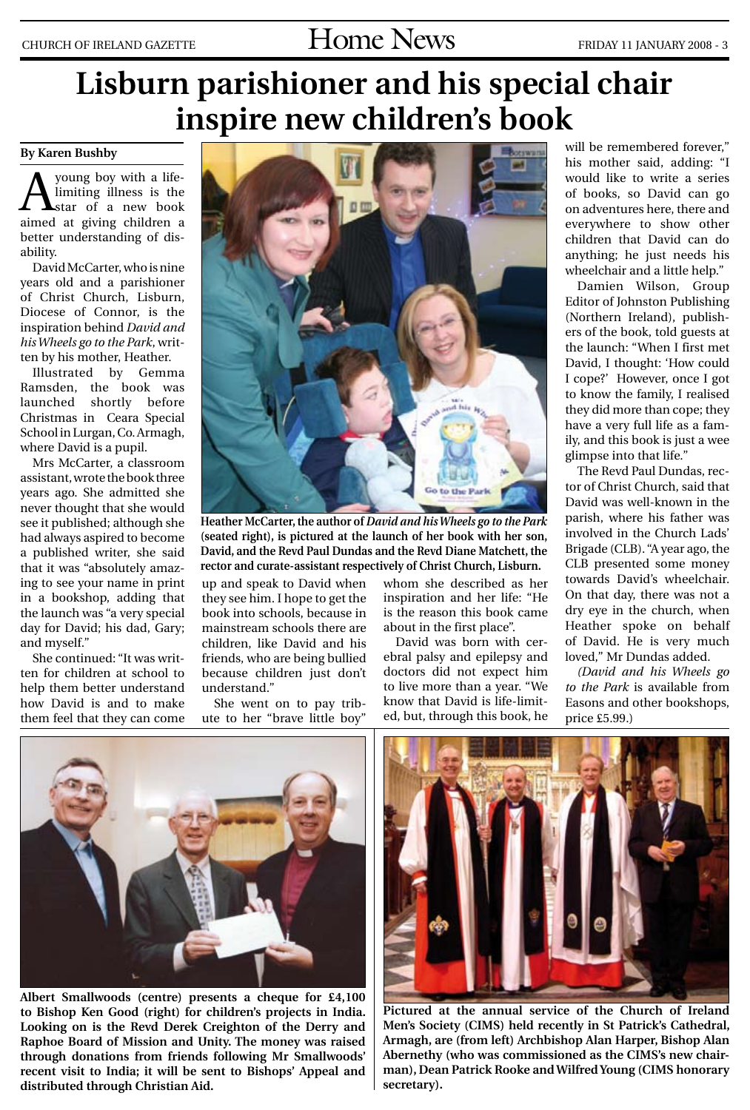# CHURCH OF IRELAND GAZETTE  $\text{Hom}$   $\text{Hom}$   $\text{N}\text{e}$   $\text{N}\text{e}$   $\text{N}\text{e}$   $\text{F}$   $\text{F}$   $\text{F}$   $\text{F}$   $\text{F}$   $\text{F}$   $\text{F}$   $\text{F}$   $\text{F}$   $\text{F}$   $\text{F}$   $\text{F}$   $\text{F}$   $\text{F}$   $\text{F}$   $\text{F}$   $\text{F}$   $\text{F}$

# **Lisburn parishioner and his special chair inspire new children's book**

#### **By Karen Bushby**

young boy with a lifelimiting illness is the star of a new book aimed at giving children a better understanding of disability.

David McCarter, who is nine years old and a parishioner of Christ Church, Lisburn, Diocese of Connor, is the inspiration behind *David and his Wheels go to the Park*, written by his mother, Heather.

Illustrated by Gemma Ramsden, the book was launched shortly before Christmas in Ceara Special School in Lurgan, Co. Armagh, where David is a pupil.

Mrs McCarter, a classroom assistant, wrote the book three years ago. She admitted she never thought that she would see it published; although she had always aspired to become a published writer, she said that it was "absolutely amazing to see your name in print in a bookshop, adding that the launch was "a very special day for David; his dad, Gary; and myself."

She continued: "It was written for children at school to help them better understand how David is and to make them feel that they can come



**Heather McCarter, the author of** *David and his Wheels go to the Park* **(seated right), is pictured at the launch of her book with her son, David, and the Revd Paul Dundas and the Revd Diane Matchett, the rector and curate-assistant respectively of Christ Church, Lisburn.** 

up and speak to David when they see him. I hope to get the book into schools, because in mainstream schools there are children, like David and his friends, who are being bullied because children just don't understand."

She went on to pay tribute to her "brave little boy"

whom she described as her inspiration and her life: "He is the reason this book came about in the first place".

David was born with cerebral palsy and epilepsy and doctors did not expect him to live more than a year. "We know that David is life-limited, but, through this book, he will be remembered forever," his mother said, adding: "I would like to write a series of books, so David can go on adventures here, there and everywhere to show other children that David can do anything; he just needs his wheelchair and a little help."

Damien Wilson, Group Editor of Johnston Publishing (Northern Ireland), publishers of the book, told guests at the launch: "When I first met David, I thought: 'How could I cope?' However, once I got to know the family, I realised they did more than cope; they have a very full life as a family, and this book is just a wee glimpse into that life."

The Revd Paul Dundas, rector of Christ Church, said that David was well-known in the parish, where his father was involved in the Church Lads' Brigade (CLB). "A year ago, the CLB presented some money towards David's wheelchair. On that day, there was not a dry eye in the church, when Heather spoke on behalf of David. He is very much loved," Mr Dundas added.

*(David and his Wheels go to the Park* is available from Easons and other bookshops, price £5.99.)



**Albert Smallwoods (centre) presents a cheque for £4,100 to Bishop Ken Good (right) for children's projects in India. Looking on is the Revd Derek Creighton of the Derry and Raphoe Board of Mission and Unity. The money was raised through donations from friends following Mr Smallwoods' recent visit to India; it will be sent to Bishops' Appeal and distributed through Christian Aid.**



**Pictured at the annual service of the Church of Ireland Men's Society (CIMS) held recently in St Patrick's Cathedral, Armagh, are (from left) Archbishop Alan Harper, Bishop Alan Abernethy (who was commissioned as the CIMS's new chairman), Dean Patrick Rooke and Wilfred Young (CIMS honorary secretary).**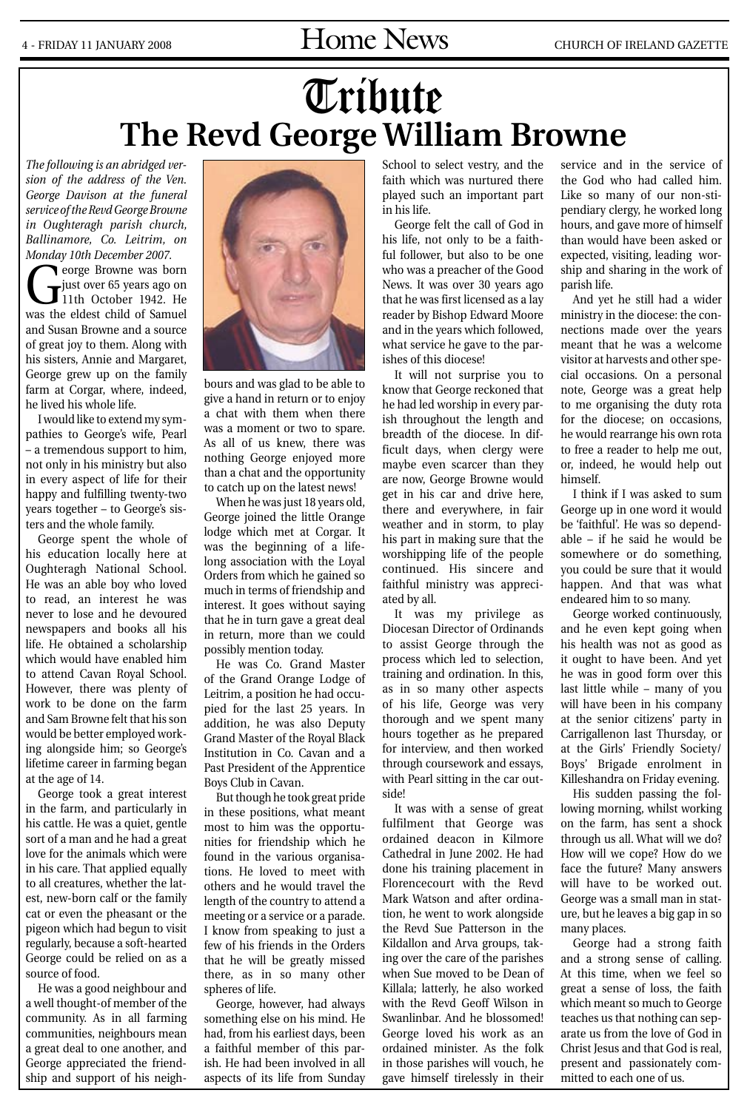# Tribute **The Revd George William Browne**

*The following is an abridged version of the address of the Ven. George Davison at the funeral service of the Revd George Browne in Oughteragh parish church, Ballinamore, Co. Leitrim, on Monday 10th December 2007.*

George Browne was born<br>just over 65 years ago on<br>11th October 1942. He just over 65 years ago on 11th October 1942. He was the eldest child of Samuel and Susan Browne and a source of great joy to them. Along with his sisters, Annie and Margaret, George grew up on the family farm at Corgar, where, indeed, he lived his whole life.

I would like to extend my sympathies to George's wife, Pearl – a tremendous support to him, not only in his ministry but also in every aspect of life for their happy and fulfilling twenty-two years together – to George's sisters and the whole family.

George spent the whole of his education locally here at Oughteragh National School. He was an able boy who loved to read, an interest he was never to lose and he devoured newspapers and books all his life. He obtained a scholarship which would have enabled him to attend Cavan Royal School. However, there was plenty of work to be done on the farm and Sam Browne felt that his son would be better employed working alongside him; so George's lifetime career in farming began at the age of 14.

George took a great interest in the farm, and particularly in his cattle. He was a quiet, gentle sort of a man and he had a great love for the animals which were in his care. That applied equally to all creatures, whether the latest, new-born calf or the family cat or even the pheasant or the pigeon which had begun to visit regularly, because a soft-hearted George could be relied on as a source of food.

He was a good neighbour and a well thought-of member of the community. As in all farming communities, neighbours mean a great deal to one another, and George appreciated the friendship and support of his neigh-



bours and was glad to be able to give a hand in return or to enjoy a chat with them when there was a moment or two to spare. As all of us knew, there was nothing George enjoyed more than a chat and the opportunity to catch up on the latest news!

When he was just 18 years old, George joined the little Orange lodge which met at Corgar. It was the beginning of a lifelong association with the Loyal Orders from which he gained so much in terms of friendship and interest. It goes without saying that he in turn gave a great deal in return, more than we could possibly mention today.

He was Co. Grand Master of the Grand Orange Lodge of Leitrim, a position he had occupied for the last 25 years. In addition, he was also Deputy Grand Master of the Royal Black Institution in Co. Cavan and a Past President of the Apprentice Boys Club in Cavan.

But though he took great pride in these positions, what meant most to him was the opportunities for friendship which he found in the various organisations. He loved to meet with others and he would travel the length of the country to attend a meeting or a service or a parade. I know from speaking to just a few of his friends in the Orders that he will be greatly missed there, as in so many other spheres of life.

George, however, had always something else on his mind. He had, from his earliest days, been a faithful member of this parish. He had been involved in all aspects of its life from Sunday

School to select vestry, and the faith which was nurtured there played such an important part in his life.

George felt the call of God in his life, not only to be a faithful follower, but also to be one who was a preacher of the Good News. It was over 30 years ago that he was first licensed as a lay reader by Bishop Edward Moore and in the years which followed, what service he gave to the parishes of this diocese!

It will not surprise you to know that George reckoned that he had led worship in every parish throughout the length and breadth of the diocese. In difficult days, when clergy were maybe even scarcer than they are now, George Browne would get in his car and drive here, there and everywhere, in fair weather and in storm, to play his part in making sure that the worshipping life of the people continued. His sincere and faithful ministry was appreciated by all.

It was my privilege as Diocesan Director of Ordinands to assist George through the process which led to selection, training and ordination. In this, as in so many other aspects of his life, George was very thorough and we spent many hours together as he prepared for interview, and then worked through coursework and essays, with Pearl sitting in the car outside!

It was with a sense of great fulfilment that George was ordained deacon in Kilmore Cathedral in June 2002. He had done his training placement in Florencecourt with the Revd Mark Watson and after ordination, he went to work alongside the Revd Sue Patterson in the Kildallon and Arva groups, taking over the care of the parishes when Sue moved to be Dean of Killala; latterly, he also worked with the Revd Geoff Wilson in Swanlinbar. And he blossomed! George loved his work as an ordained minister. As the folk in those parishes will vouch, he gave himself tirelessly in their service and in the service of the God who had called him. Like so many of our non-stipendiary clergy, he worked long hours, and gave more of himself than would have been asked or expected, visiting, leading worship and sharing in the work of parish life.

And yet he still had a wider ministry in the diocese: the connections made over the years meant that he was a welcome visitor at harvests and other special occasions. On a personal note, George was a great help to me organising the duty rota for the diocese; on occasions, he would rearrange his own rota to free a reader to help me out, or, indeed, he would help out himself.

I think if I was asked to sum George up in one word it would be 'faithful'. He was so dependable – if he said he would be somewhere or do something, you could be sure that it would happen. And that was what endeared him to so many.

George worked continuously, and he even kept going when his health was not as good as it ought to have been. And yet he was in good form over this last little while – many of you will have been in his company at the senior citizens' party in Carrigallenon last Thursday, or at the Girls' Friendly Society/ Boys' Brigade enrolment in Killeshandra on Friday evening.

His sudden passing the following morning, whilst working on the farm, has sent a shock through us all. What will we do? How will we cope? How do we face the future? Many answers will have to be worked out. George was a small man in stature, but he leaves a big gap in so many places.

George had a strong faith and a strong sense of calling. At this time, when we feel so great a sense of loss, the faith which meant so much to George teaches us that nothing can separate us from the love of God in Christ Jesus and that God is real, present and passionately committed to each one of us.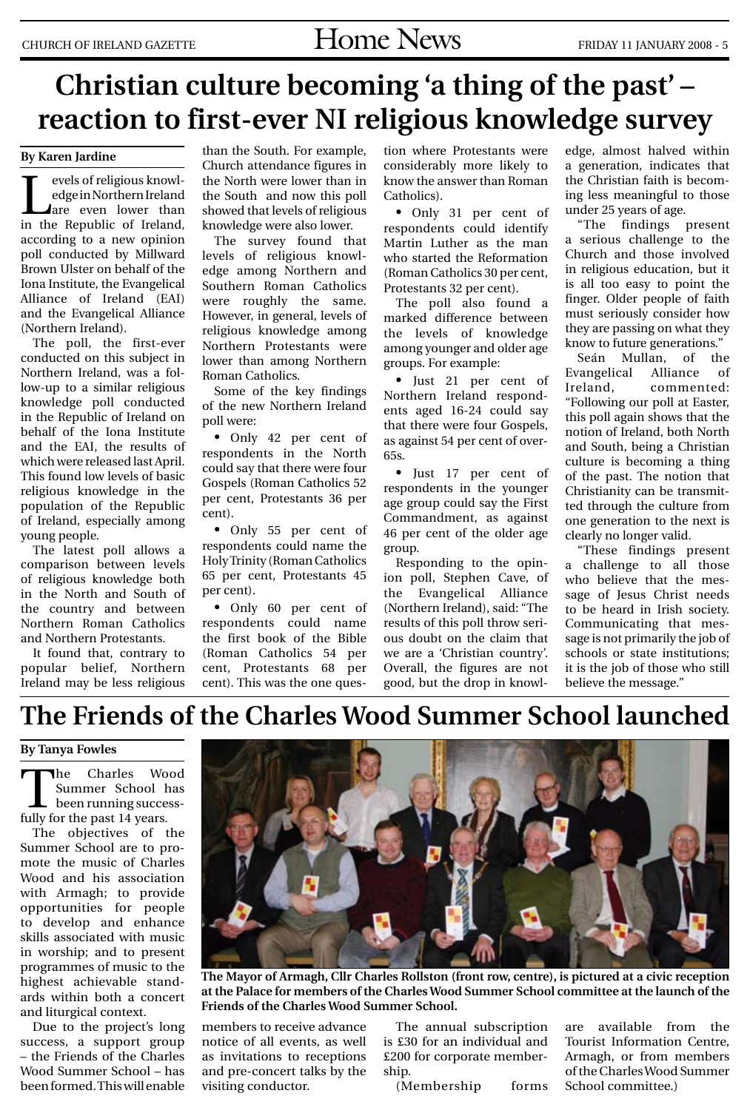# **Christian culture becoming 'a thing of the past' – reaction to first-ever NI religious knowledge survey**

#### **By Karen Jardine**

Evels of religious knowledge in Northern Ireland<br>
are even lower than<br>
in the Benublic of Ireland edge in Northern Ireland are even lower than in the Republic of Ireland, according to a new opinion poll conducted by Millward Brown Ulster on behalf of the Iona Institute, the Evangelical Alliance of Ireland (EAI) and the Evangelical Alliance (Northern Ireland).

The poll, the first-ever conducted on this subject in Northern Ireland, was a follow-up to a similar religious knowledge poll conducted in the Republic of Ireland on behalf of the Iona Institute and the EAI, the results of which were released last April. This found low levels of basic religious knowledge in the population of the Republic of Ireland, especially among young people.

The latest poll allows a comparison between levels of religious knowledge both in the North and South of the country and between Northern Roman Catholics and Northern Protestants.

It found that, contrary to popular belief, Northern Ireland may be less religious

than the South. For example, Church attendance figures in the North were lower than in the South and now this poll showed that levels of religious knowledge were also lower.

The survey found that levels of religious knowledge among Northern and Southern Roman Catholics were roughly the same. However, in general, levels of religious knowledge among Northern Protestants were lower than among Northern Roman Catholics.

Some of the key findings of the new Northern Ireland poll were:

• Only 42 per cent of respondents in the North could say that there were four Gospels (Roman Catholics 52 per cent, Protestants 36 per cent).

• Only 55 per cent of respondents could name the Holy Trinity (Roman Catholics 65 per cent, Protestants 45 per cent).

• Only 60 per cent of respondents could name the first book of the Bible (Roman Catholics 54 per cent, Protestants 68 per cent). This was the one question where Protestants were considerably more likely to know the answer than Roman Catholics).

• Only 31 per cent of respondents could identify Martin Luther as the man who started the Reformation (Roman Catholics 30 per cent, Protestants 32 per cent).

The poll also found a marked difference between the levels of knowledge among younger and older age groups. For example:

• Just 21 per cent of Northern Ireland respondents aged 16-24 could say that there were four Gospels, as against 54 per cent of over-65s.

• Just 17 per cent of respondents in the younger age group could say the First Commandment, as against 46 per cent of the older age group.

Responding to the opinion poll, Stephen Cave, of the Evangelical Alliance (Northern Ireland), said: "The results of this poll throw serious doubt on the claim that we are a 'Christian country'. Overall, the figures are not good, but the drop in knowledge, almost halved within a generation, indicates that the Christian faith is becoming less meaningful to those under 25 years of age.

"The findings present a serious challenge to the Church and those involved in religious education, but it is all too easy to point the finger. Older people of faith must seriously consider how they are passing on what they know to future generations."

Seán Mullan, of the Evangelical Alliance of Ireland, commented: "Following our poll at Easter, this poll again shows that the notion of Ireland, both North and South, being a Christian culture is becoming a thing of the past. The notion that Christianity can be transmitted through the culture from one generation to the next is clearly no longer valid.

"These findings present a challenge to all those who believe that the message of Jesus Christ needs to be heard in Irish society. Communicating that message is not primarily the job of schools or state institutions; it is the job of those who still believe the message."

### **The Friends of the Charles Wood Summer School launched**

#### **By Tanya Fowles**

The Charles Wood<br>
Summer School has<br>
been running success-<br>
fully for the nest 14 years Summer School has fully for the past 14 years.

The objectives of the Summer School are to promote the music of Charles Wood and his association with Armagh; to provide opportunities for people to develop and enhance skills associated with music in worship; and to present programmes of music to the highest achievable standards within both a concert and liturgical context.

Due to the project's long success, a support group – the Friends of the Charles Wood Summer School – has been formed. This will enable



**The Mayor of Armagh, Cllr Charles Rollston (front row, centre), is pictured at a civic reception at the Palace for members of the Charles Wood Summer School committee at the launch of the Friends of the Charles Wood Summer School.**

members to receive advance notice of all events, as well as invitations to receptions and pre-concert talks by the visiting conductor.

The annual subscription is £30 for an individual and £200 for corporate membership.

(Membership forms

are available from the Tourist Information Centre, Armagh, or from members of the Charles Wood Summer School committee.)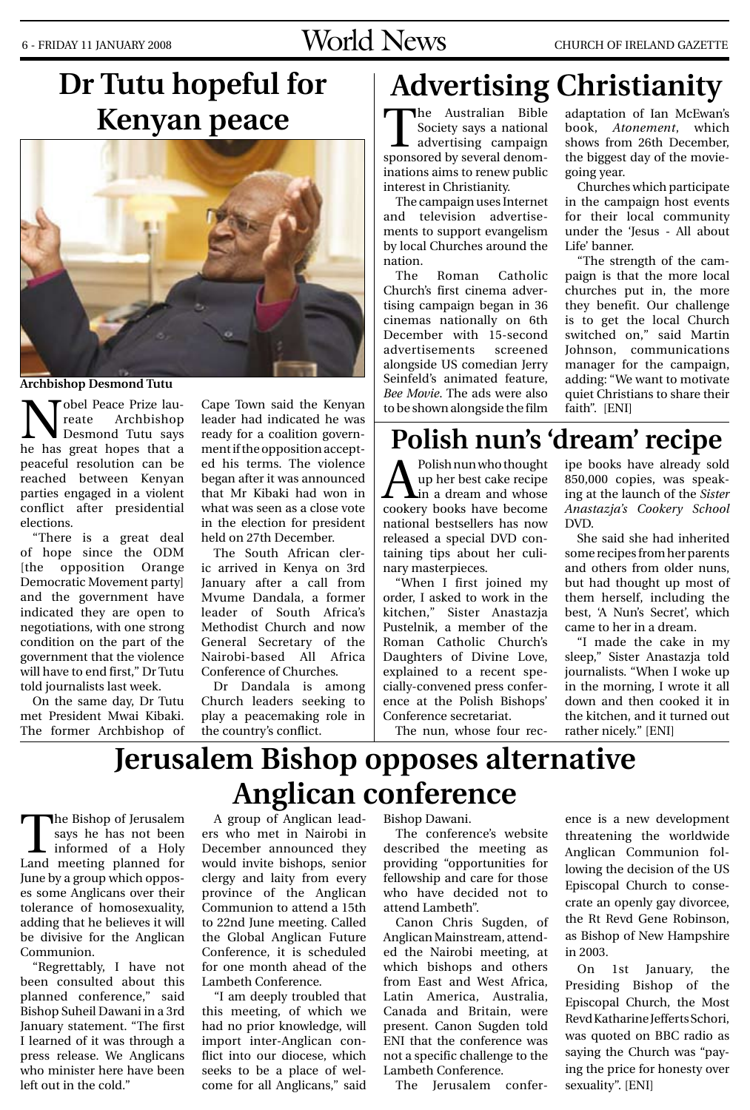# 6 - FRIDAY 11 JANUARY 2008  $Word \, Nerld \, Nerbl$

# **Dr Tutu hopeful for Kenyan peace**



**Archbishop Desmond Tutu**

obel Peace Prize lau-<br>reate Archbishop Archbishop Desmond Tutu says he has great hopes that a peaceful resolution can be reached between Kenyan parties engaged in a violent conflict after presidential elections.

"There is a great deal of hope since the ODM [the opposition Orange Democratic Movement party] and the government have indicated they are open to negotiations, with one strong condition on the part of the government that the violence will have to end first," Dr Tutu told journalists last week.

On the same day, Dr Tutu met President Mwai Kibaki. The former Archbishop of Cape Town said the Kenyan leader had indicated he was ready for a coalition government if the opposition accepted his terms. The violence began after it was announced that Mr Kibaki had won in what was seen as a close vote in the election for president held on 27th December.

The South African cleric arrived in Kenya on 3rd January after a call from Mvume Dandala, a former leader of South Africa's Methodist Church and now General Secretary of the Nairobi-based All Africa Conference of Churches.

Dr Dandala is among Church leaders seeking to play a peacemaking role in the country's conflict.

# **Advertising Christianity**

The Australian Bible Society says a national advertising campaign sponsored by several denominations aims to renew public interest in Christianity.

The campaign uses Internet and television advertisements to support evangelism by local Churches around the nation.

The Roman Catholic Church's first cinema advertising campaign began in 36 cinemas nationally on 6th December with 15-second advertisements screened alongside US comedian Jerry Seinfeld's animated feature, *Bee Movie*. The ads were also to be shown alongside the film adaptation of Ian McEwan's book, *Atonement*, which shows from 26th December, the biggest day of the moviegoing year.

Churches which participate in the campaign host events for their local community under the 'Jesus - All about Life' banner.

"The strength of the campaign is that the more local churches put in, the more they benefit. Our challenge is to get the local Church switched on," said Martin Johnson, communications manager for the campaign, adding: "We want to motivate quiet Christians to share their faith". [ENI]

# **Polish nun's 'dream' recipe**

 $\sum_{\text{up her best cake recipe}}^{\text{Polish num who thought}}$ up her best cake recipe cookery books have become national bestsellers has now released a special DVD containing tips about her culinary masterpieces.

"When I first joined my order, I asked to work in the kitchen," Sister Anastazja Pustelnik, a member of the Roman Catholic Church's Daughters of Divine Love, explained to a recent specially-convened press conference at the Polish Bishops' Conference secretariat.

The nun, whose four rec-

ipe books have already sold 850,000 copies, was speaking at the launch of the *Sister Anastazja's Cookery School*  DVD.

She said she had inherited some recipes from her parents and others from older nuns, but had thought up most of them herself, including the best, 'A Nun's Secret', which came to her in a dream.

"I made the cake in my sleep," Sister Anastazja told journalists. "When I woke up in the morning, I wrote it all down and then cooked it in the kitchen, and it turned out rather nicely." [ENI]

# **Jerusalem Bishop opposes alternative Anglican conference**

The Bishop of Jerusalem<br>
says he has not been<br>
informed of a Holy<br>
Land meeting planned for says he has not been Land meeting planned for June by a group which opposes some Anglicans over their tolerance of homosexuality, adding that he believes it will be divisive for the Anglican Communion.

"Regrettably, I have not been consulted about this planned conference," said Bishop Suheil Dawani in a 3rd January statement. "The first I learned of it was through a press release. We Anglicans who minister here have been left out in the cold."

A group of Anglican leaders who met in Nairobi in December announced they would invite bishops, senior clergy and laity from every province of the Anglican Communion to attend a 15th to 22nd June meeting. Called the Global Anglican Future Conference, it is scheduled for one month ahead of the Lambeth Conference.

"I am deeply troubled that this meeting, of which we had no prior knowledge, will import inter-Anglican conflict into our diocese, which seeks to be a place of welcome for all Anglicans," said

Bishop Dawani.

The conference's website described the meeting as providing "opportunities for fellowship and care for those who have decided not to attend Lambeth".

Canon Chris Sugden, of Anglican Mainstream, attended the Nairobi meeting, at which bishops and others from East and West Africa, Latin America, Australia, Canada and Britain, were present. Canon Sugden told ENI that the conference was not a specific challenge to the Lambeth Conference.

The Jerusalem confer-

ence is a new development threatening the worldwide Anglican Communion following the decision of the US Episcopal Church to consecrate an openly gay divorcee, the Rt Revd Gene Robinson, as Bishop of New Hampshire in 2003.

On 1st January, the Presiding Bishop of the Episcopal Church, the Most Revd Katharine Jefferts Schori, was quoted on BBC radio as saying the Church was "paying the price for honesty over sexuality". [ENI]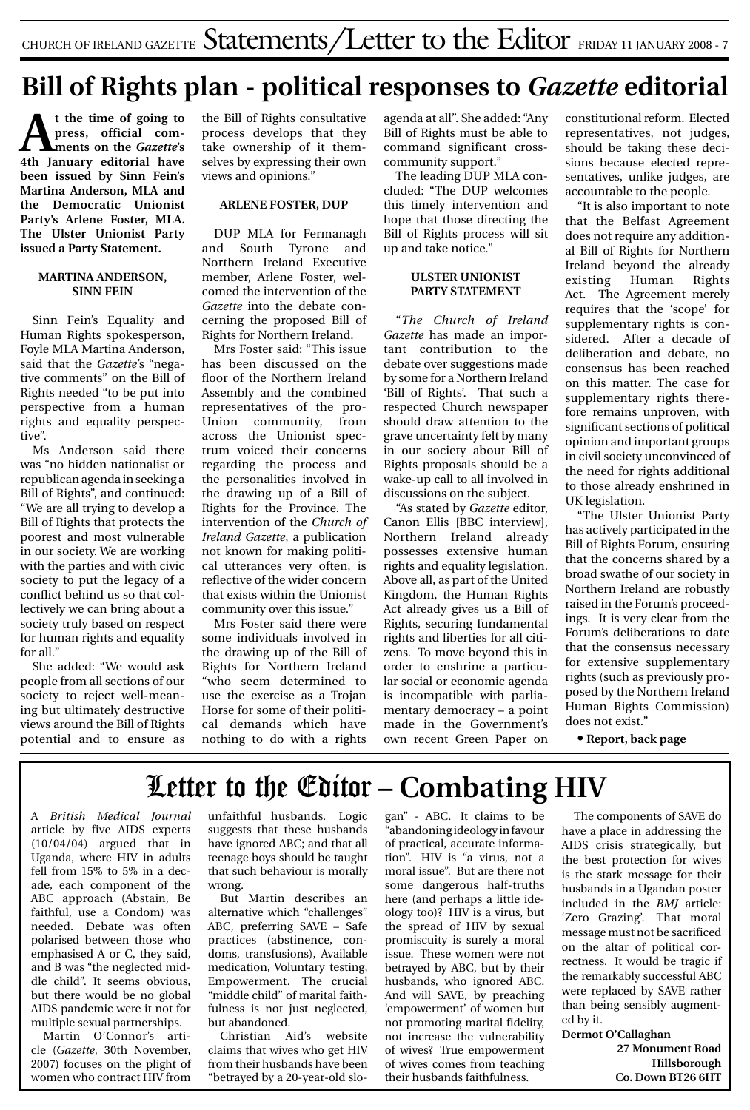# **Bill of Rights plan - political responses to** *Gazette* **editorial**

**At the time of going to press, official comments on the** *Gazette***'s 4th January editorial have been issued by Sinn Fein's Martina Anderson, MLA and the Democratic Unionist Party's Arlene Foster, MLA. The Ulster Unionist Party issued a Party Statement.**

#### **MARTINA ANDERSON, SINN FEIN**

Sinn Fein's Equality and Human Rights spokesperson, Foyle MLA Martina Anderson, said that the *Gazette'*s "negative comments" on the Bill of Rights needed "to be put into perspective from a human rights and equality perspective".

Ms Anderson said there was "no hidden nationalist or republican agenda in seeking a Bill of Rights", and continued: "We are all trying to develop a Bill of Rights that protects the poorest and most vulnerable in our society. We are working with the parties and with civic society to put the legacy of a conflict behind us so that collectively we can bring about a society truly based on respect for human rights and equality for all."

She added: "We would ask people from all sections of our society to reject well-meaning but ultimately destructive views around the Bill of Rights potential and to ensure as

the Bill of Rights consultative process develops that they take ownership of it themselves by expressing their own views and opinions."

#### **ARLENE FOSTER, DUP**

DUP MLA for Fermanagh and South Tyrone and Northern Ireland Executive member, Arlene Foster, welcomed the intervention of the *Gazette* into the debate concerning the proposed Bill of Rights for Northern Ireland.

Mrs Foster said: "This issue has been discussed on the floor of the Northern Ireland Assembly and the combined representatives of the pro-Union community, from across the Unionist spectrum voiced their concerns regarding the process and the personalities involved in the drawing up of a Bill of Rights for the Province. The intervention of the *Church of Ireland Gazette*, a publication not known for making political utterances very often, is reflective of the wider concern that exists within the Unionist community over this issue."

Mrs Foster said there were some individuals involved in the drawing up of the Bill of Rights for Northern Ireland "who seem determined to use the exercise as a Trojan Horse for some of their political demands which have nothing to do with a rights

agenda at all". She added: "Any Bill of Rights must be able to command significant crosscommunity support."

The leading DUP MLA concluded: "The DUP welcomes this timely intervention and hope that those directing the Bill of Rights process will sit up and take notice."

#### **ULSTER UNIONIST PARTY STATEMENT**

"*The Church of Ireland Gazette* has made an important contribution to the debate over suggestions made by some for a Northern Ireland 'Bill of Rights'. That such a respected Church newspaper should draw attention to the grave uncertainty felt by many in our society about Bill of Rights proposals should be a wake-up call to all involved in discussions on the subject.

"As stated by *Gazette* editor, Canon Ellis [BBC interview], Northern Ireland already possesses extensive human rights and equality legislation. Above all, as part of the United Kingdom, the Human Rights Act already gives us a Bill of Rights, securing fundamental rights and liberties for all citizens. To move beyond this in order to enshrine a particular social or economic agenda is incompatible with parliamentary democracy – a point made in the Government's own recent Green Paper on constitutional reform. Elected representatives, not judges, should be taking these decisions because elected representatives, unlike judges, are accountable to the people.

"It is also important to note that the Belfast Agreement does not require any additional Bill of Rights for Northern Ireland beyond the already existing Human Rights Act. The Agreement merely requires that the 'scope' for supplementary rights is considered. After a decade of deliberation and debate, no consensus has been reached on this matter. The case for supplementary rights therefore remains unproven, with significant sections of political opinion and important groups in civil society unconvinced of the need for rights additional to those already enshrined in UK legislation.

"The Ulster Unionist Party has actively participated in the Bill of Rights Forum, ensuring that the concerns shared by a broad swathe of our society in Northern Ireland are robustly raised in the Forum's proceedings. It is very clear from the Forum's deliberations to date that the consensus necessary for extensive supplementary rights (such as previously proposed by the Northern Ireland Human Rights Commission) does not exist."

**• Report, back page**

# Letter to the Editor **– Combating HIV**

A *British Medical Journal* article by five AIDS experts (10/04/04) argued that in Uganda, where HIV in adults fell from 15% to 5% in a decade, each component of the ABC approach (Abstain, Be faithful, use a Condom) was needed. Debate was often polarised between those who emphasised A or C, they said, and B was "the neglected middle child". It seems obvious, but there would be no global AIDS pandemic were it not for multiple sexual partnerships.

Martin O'Connor's article (*Gazette*, 30th November, 2007) focuses on the plight of women who contract HIV from unfaithful husbands. Logic suggests that these husbands have ignored ABC; and that all teenage boys should be taught that such behaviour is morally wrong.

But Martin describes an alternative which "challenges" ABC, preferring SAVE – Safe practices (abstinence, condoms, transfusions), Available medication, Voluntary testing, Empowerment. The crucial "middle child" of marital faithfulness is not just neglected, but abandoned.

Christian Aid's website claims that wives who get HIV from their husbands have been "betrayed by a 20-year-old slogan" - ABC. It claims to be "abandoning ideology in favour of practical, accurate information". HIV is "a virus, not a moral issue". But are there not some dangerous half-truths here (and perhaps a little ideology too)? HIV is a virus, but the spread of HIV by sexual promiscuity is surely a moral issue. These women were not betrayed by ABC, but by their husbands, who ignored ABC. And will SAVE, by preaching 'empowerment' of women but not promoting marital fidelity, not increase the vulnerability of wives? True empowerment of wives comes from teaching their husbands faithfulness.

The components of SAVE do have a place in addressing the AIDS crisis strategically, but the best protection for wives is the stark message for their husbands in a Ugandan poster included in the *BMJ* article: 'Zero Grazing'. That moral message must not be sacrificed on the altar of political correctness. It would be tragic if the remarkably successful ABC were replaced by SAVE rather than being sensibly augmented by it.

**Dermot O'Callaghan 27 Monument Road Hillsborough Co. Down BT26 6HT**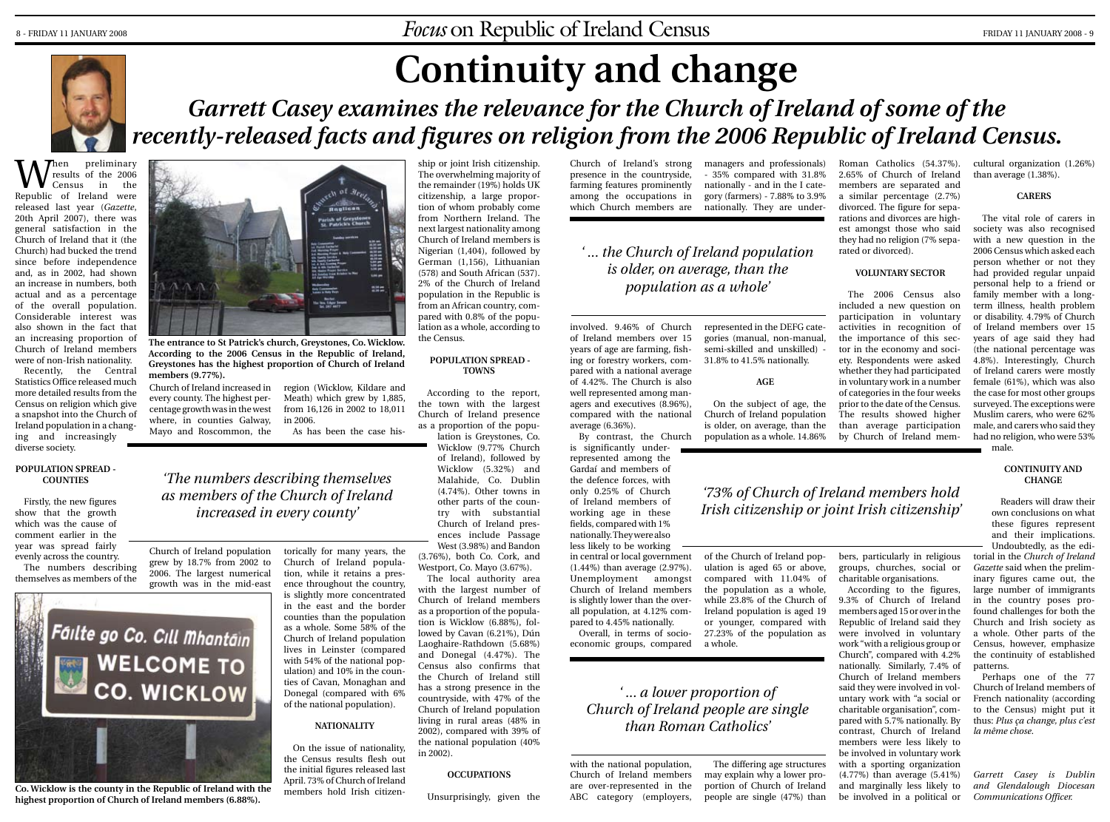

# **Continuity and change**

# Garrett Casey examines the relevance for the Church of Ireland of some of the *recently-released facts and figures on religion from the 2006 Republic of Ireland Census.*

**W** results of the 2006<br>Census in the<br>Republic of Ireland were results of the 2006 Census in the Republic of Ireland were released last year (*Gazette*, 20th April 2007), there was general satisfaction in the Church of Ireland that it (the Church) had bucked the trend since before independence and, as in 2002, had shown an increase in numbers, both actual and as a percentage of the overall population. Considerable interest was also shown in the fact that an increasing proportion of Church of Ireland members were of non-Irish nationality.

Recently, the Central Statistics Office released much more detailed results from the Census on religion which give a snapshot into the Church of Ireland population in a changing and increasingly diverse society.

#### **POPULATION SPREAD - COUNTIES**

Firstly, the new figures show that the growth which was the cause of comment earlier in the year was spread fairly evenly across the country. The numbers describing

themselves as members of the



**Co. Wicklow is the county in the Republic of Ireland with the highest proportion of Church of Ireland members (6.88%).**



**The entrance to St Patrick's church, Greystones, Co. Wicklow. According to the 2006 Census in the Republic of Ireland, Greystones has the highest proportion of Church of Ireland members (9.77%).**

Church of Ireland increased in region (Wicklow, Kildare and every county. The highest percentage growth was in the west where, in counties Galway, Mayo and Roscommon, the Meath) which grew by 1,885, from 16,126 in 2002 to 18,011 in 2006.

As has been the case his-

### *'The numbers describing themselves as members of the Church of Ireland increased in every county'*

Church of Ireland population grew by 18.7% from 2002 to 2006. The largest numerical growth was in the mid-east torically for many years, the Church of Ireland population, while it retains a pres-

ence throughout the country, is slightly more concentrated in the east and the border counties than the population as a whole. Some 58% of the Church of Ireland population lives in Leinster (compared with 54% of the national population) and 10% in the counties of Cavan, Monaghan and Donegal (compared with 6% of the national population).

#### **NATIONALITY**

On the issue of nationality, the Census results flesh out the initial figures released last April. 73% of Church of Ireland members hold Irish citizenThe overwhelming majority of the remainder (19%) holds UK citizenship, a large proportion of whom probably come from Northern Ireland. The next largest nationality among Church of Ireland members is Nigerian (1,404), followed by German (1,156), Lithuanian (578) and South African (537). 2% of the Church of Ireland population in the Republic is from an African country, compared with 0.8% of the population as a whole, according to the Census.

ship or joint Irish citizenship.

#### **POPULATION SPREAD - TOWNS**

According to the report, the town with the largest Church of Ireland presence as a proportion of the popu-

lation is Greystones, Co. Wicklow (9.77% Church of Ireland), followed by Wicklow (5.32%) and Malahide, Co. Dublin (4.74%). Other towns in other parts of the country with substantial Church of Ireland presences include Passage West (3.98%) and Bandon (3.76%), both Co. Cork, and Westport, Co. Mayo (3.67%).

The local authority area with the largest number of Church of Ireland members as a proportion of the population is Wicklow (6.88%), followed by Cavan (6.21%), Dún Laoghaire-Rathdown (5.68%) and Donegal (4.47%). The Census also confirms that the Church of Ireland still has a strong presence in the countryside, with 47% of the Church of Ireland population living in rural areas (48% in 2002), compared with 39% of the national population (40% in 2002).

#### **OCCUPATIONS**

Unsurprisingly, given the

Church of Ireland's strong presence in the countryside, farming features prominently among the occupations in which Church members are managers and professionals)

### *' ... the Church of Ireland population is older, on average, than the population as a whole'*

involved. 9.46% of Church of Ireland members over 15 years of age are farming, fishing or forestry workers, compared with a national average of 4.42%. The Church is also well represented among managers and executives (8.96%), compared with the national average (6.36%).

is significantly underrepresented among the Gardaí and members of the defence forces, with only 0.25% of Church of Ireland members of working age in these fields, compared with 1% nationally. They were also less likely to be working in central or local government (1.44%) than average (2.97%). Unemployment amongst Church of Ireland members is slightly lower than the overall population, at 4.12% com-

pared to 4.45% nationally. Overall, in terms of socioeconomic groups, compared a whole.

### *' ... a lower proportion of Church of Ireland people are single than Roman Catholics'*

with the national population, Church of Ireland members are over-represented in the ABC category (employers,

- 35% compared with 31.8% nationally - and in the I category (farmers) - 7.88% to 3.9% nationally. They are under-Roman Catholics (54.37%). 2.65% of Church of Ireland

members are separated and a similar percentage (2.7%) divorced. The figure for separations and divorces are highest amongst those who said they had no religion (7% separated or divorced).

#### **VOLUNTARY SECTOR**

The 2006 Census also included a new question on participation in voluntary activities in recognition of the importance of this sector in the economy and society. Respondents were asked whether they had participated in voluntary work in a number of categories in the four weeks prior to the date of the Census. The results showed higher than average participation by Church of Ireland mem-

bers, particularly in religious groups, churches, social or charitable organisations. According to the figures, 9.3% of Church of Ireland members aged 15 or over in the Republic of Ireland said they were involved in voluntary work "with a religious group or Church", compared with 4.2%

with a sporting organization (4.77%) than average (5.41%) and marginally less likely to be involved in a political or

cultural organization (1.26%) than average (1.38%).

**CARERS**

The vital role of carers in society was also recognised with a new question in the 2006 Census which asked each person whether or not they had provided regular unpaid personal help to a friend or family member with a longterm illness, health problem or disability. 4.79% of Church of Ireland members over 15 years of age said they had (the national percentage was 4.8%). Interestingly, Church of Ireland carers were mostly female (61%), which was also the case for most other groups surveyed. The exceptions were Muslim carers, who were 62% male, and carers who said they had no religion, who were 53%

#### **CONTINUITY AND CHANGE**

male.

Readers will draw their own conclusions on what these figures represent and their implications. Undoubtedly, as the editorial in the *Church of Ireland Gazette* said when the preliminary figures came out, the large number of immigrants in the country poses profound challenges for both the Church and Irish society as a whole. Other parts of the Census, however, emphasize the continuity of established

nationally. Similarly, 7.4% of Church of Ireland members said they were involved in voluntary work with "a social or charitable organisation", compared with 5.7% nationally. By contrast, Church of Ireland members were less likely to be involved in voluntary work patterns. Perhaps one of the 77 Church of Ireland members of French nationality (according to the Census) might put it thus: *Plus ça change, plus c'est la même chose*.

> *Garrett Casey is Dublin and Glendalough Diocesan Communications Officer.*

of the Church of Ireland population is aged 65 or above, compared with 11.04% of the population as a whole, while 23.8% of the Church of Ireland population is aged 19 or younger, compared with 27.23% of the population as

The differing age structures may explain why a lower proportion of Church of Ireland people are single (47%) than

represented in the DEFG categories (manual, non-manual, semi-skilled and unskilled) - 31.8% to 41.5% nationally.

**AGE**

On the subject of age, the Church of Ireland population is older, on average, than the

By contrast, the Church population as a whole. 14.86% *'73% of Church of Ireland members hold Irish citizenship or joint Irish citizenship'*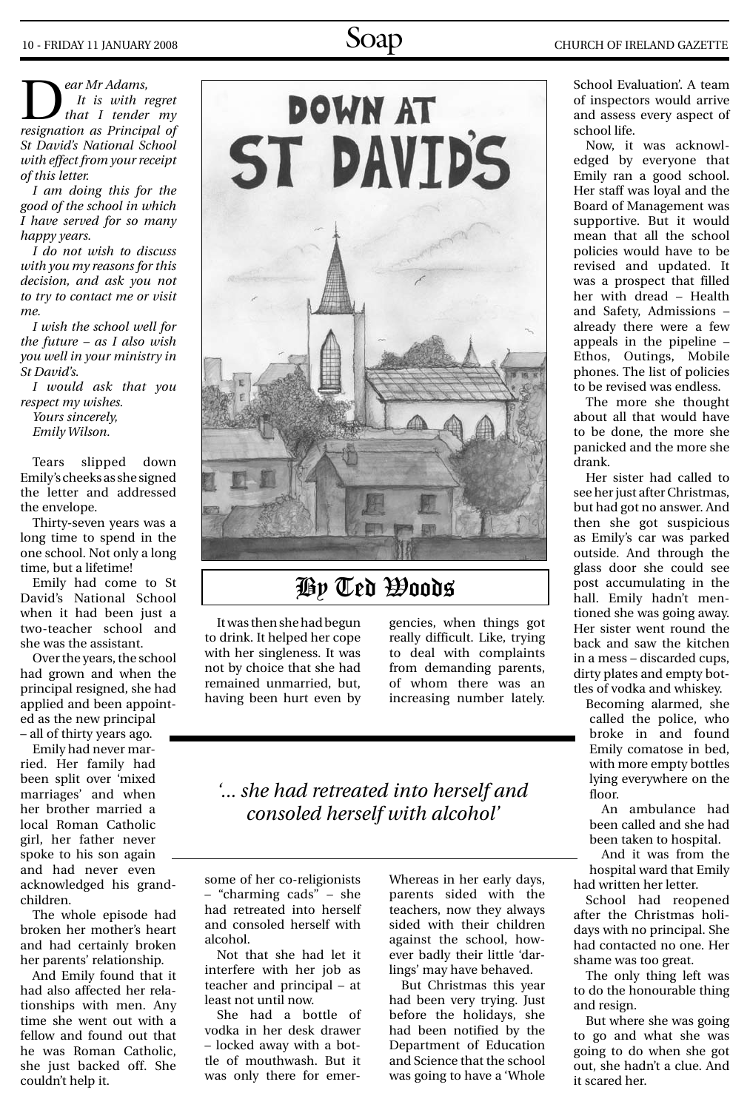**D** *ear Mr Adams,*<br> *It is with regret*<br> *that I tender my*<br> *resignation as Principal of It is with regret resignation as Principal of St David's National School with effect from your receipt of this letter.*

*I am doing this for the good of the school in which I have served for so many happy years.*

*I do not wish to discuss with you my reasons for this decision, and ask you not to try to contact me or visit me.*

*I wish the school well for the future – as I also wish you well in your ministry in St David's.*

*I would ask that you respect my wishes. Yours sincerely, Emily Wilson.*

Tears slipped down Emily's cheeks as she signed the letter and addressed the envelope.

Thirty-seven years was a long time to spend in the one school. Not only a long time, but a lifetime!

Emily had come to St David's National School when it had been just a two-teacher school and she was the assistant.

Over the years, the school had grown and when the principal resigned, she had applied and been appointed as the new principal – all of thirty years ago.

Emily had never married. Her family had been split over 'mixed marriages' and when her brother married a local Roman Catholic girl, her father never spoke to his son again and had never even acknowledged his grandchildren.

The whole episode had broken her mother's heart and had certainly broken her parents' relationship.

And Emily found that it had also affected her relationships with men. Any time she went out with a fellow and found out that he was Roman Catholic, she just backed off. She couldn't help it.



### By Ted Woods

It was then she had begun to drink. It helped her cope with her singleness. It was not by choice that she had remained unmarried, but, having been hurt even by

gencies, when things got really difficult. Like, trying to deal with complaints from demanding parents, of whom there was an increasing number lately.

### *'... she had retreated into herself and consoled herself with alcohol'*

some of her co-religionists – "charming cads" – she had retreated into herself and consoled herself with alcohol.

Not that she had let it interfere with her job as teacher and principal – at least not until now.

She had a bottle of vodka in her desk drawer – locked away with a bottle of mouthwash. But it was only there for emerWhereas in her early days, parents sided with the teachers, now they always sided with their children against the school, however badly their little 'darlings' may have behaved.

But Christmas this year had been very trying. Just before the holidays, she had been notified by the Department of Education and Science that the school was going to have a 'Whole

School Evaluation'. A team of inspectors would arrive and assess every aspect of school life.

Now, it was acknowledged by everyone that Emily ran a good school. Her staff was loyal and the Board of Management was supportive. But it would mean that all the school policies would have to be revised and updated. It was a prospect that filled her with dread – Health and Safety, Admissions – already there were a few appeals in the pipeline – Ethos, Outings, Mobile phones. The list of policies to be revised was endless.

The more she thought about all that would have to be done, the more she panicked and the more she drank.

Her sister had called to see her just after Christmas, but had got no answer. And then she got suspicious as Emily's car was parked outside. And through the glass door she could see post accumulating in the hall. Emily hadn't mentioned she was going away. Her sister went round the back and saw the kitchen in a mess – discarded cups, dirty plates and empty bottles of vodka and whiskey.

Becoming alarmed, she called the police, who broke in and found Emily comatose in bed, with more empty bottles lying everywhere on the floor.

An ambulance had been called and she had been taken to hospital.

And it was from the hospital ward that Emily had written her letter.

School had reopened after the Christmas holidays with no principal. She had contacted no one. Her shame was too great.

The only thing left was to do the honourable thing and resign.

But where she was going to go and what she was going to do when she got out, she hadn't a clue. And it scared her.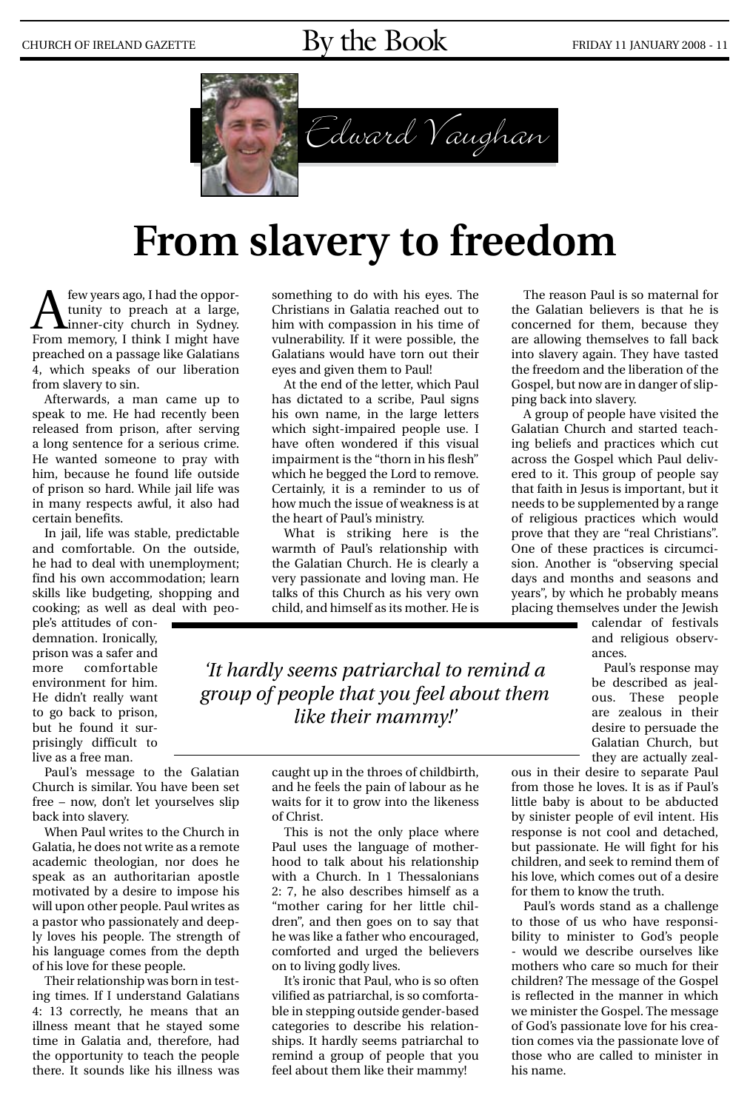# CHURCH OF IRELAND GAZETTE  $\text{By the Book}$  FRIDAY 11 JANUARY 2008 - 11



# **From slavery to freedom**

A few years ago, I had the opportunity to preach at a large,<br>
inner-city church in Sydney.<br>
From memory I think I might have tunity to preach at a large, From memory, I think I might have preached on a passage like Galatians 4, which speaks of our liberation from slavery to sin.

Afterwards, a man came up to speak to me. He had recently been released from prison, after serving a long sentence for a serious crime. He wanted someone to pray with him, because he found life outside of prison so hard. While jail life was in many respects awful, it also had certain benefits.

In jail, life was stable, predictable and comfortable. On the outside, he had to deal with unemployment; find his own accommodation; learn skills like budgeting, shopping and cooking; as well as deal with peo-

ple's attitudes of condemnation. Ironically, prison was a safer and more comfortable environment for him. He didn't really want to go back to prison, but he found it surprisingly difficult to live as a free man.

Paul's message to the Galatian Church is similar. You have been set free – now, don't let yourselves slip back into slavery.

When Paul writes to the Church in Galatia, he does not write as a remote academic theologian, nor does he speak as an authoritarian apostle motivated by a desire to impose his will upon other people. Paul writes as a pastor who passionately and deeply loves his people. The strength of his language comes from the depth of his love for these people.

Their relationship was born in testing times. If I understand Galatians 4: 13 correctly, he means that an illness meant that he stayed some time in Galatia and, therefore, had the opportunity to teach the people there. It sounds like his illness was

something to do with his eyes. The Christians in Galatia reached out to him with compassion in his time of vulnerability. If it were possible, the Galatians would have torn out their eyes and given them to Paul!

At the end of the letter, which Paul has dictated to a scribe, Paul signs his own name, in the large letters which sight-impaired people use. I have often wondered if this visual impairment is the "thorn in his flesh" which he begged the Lord to remove. Certainly, it is a reminder to us of how much the issue of weakness is at the heart of Paul's ministry.

What is striking here is the warmth of Paul's relationship with the Galatian Church. He is clearly a very passionate and loving man. He talks of this Church as his very own child, and himself as its mother. He is

*'It hardly seems patriarchal to remind a group of people that you feel about them like their mammy!'*

> caught up in the throes of childbirth, and he feels the pain of labour as he waits for it to grow into the likeness of Christ.

This is not the only place where Paul uses the language of motherhood to talk about his relationship with a Church. In 1 Thessalonians 2: 7, he also describes himself as a "mother caring for her little children", and then goes on to say that he was like a father who encouraged, comforted and urged the believers on to living godly lives.

It's ironic that Paul, who is so often vilified as patriarchal, is so comfortable in stepping outside gender-based categories to describe his relationships. It hardly seems patriarchal to remind a group of people that you feel about them like their mammy!

The reason Paul is so maternal for the Galatian believers is that he is concerned for them, because they are allowing themselves to fall back into slavery again. They have tasted the freedom and the liberation of the Gospel, but now are in danger of slipping back into slavery.

A group of people have visited the Galatian Church and started teaching beliefs and practices which cut across the Gospel which Paul delivered to it. This group of people say that faith in Jesus is important, but it needs to be supplemented by a range of religious practices which would prove that they are "real Christians". One of these practices is circumcision. Another is "observing special days and months and seasons and years", by which he probably means placing themselves under the Jewish

calendar of festivals and religious observances.

Paul's response may be described as jealous. These people are zealous in their desire to persuade the Galatian Church, but they are actually zeal-

ous in their desire to separate Paul from those he loves. It is as if Paul's little baby is about to be abducted by sinister people of evil intent. His response is not cool and detached, but passionate. He will fight for his children, and seek to remind them of his love, which comes out of a desire for them to know the truth.

Paul's words stand as a challenge to those of us who have responsibility to minister to God's people - would we describe ourselves like mothers who care so much for their children? The message of the Gospel is reflected in the manner in which we minister the Gospel. The message of God's passionate love for his creation comes via the passionate love of those who are called to minister in his name.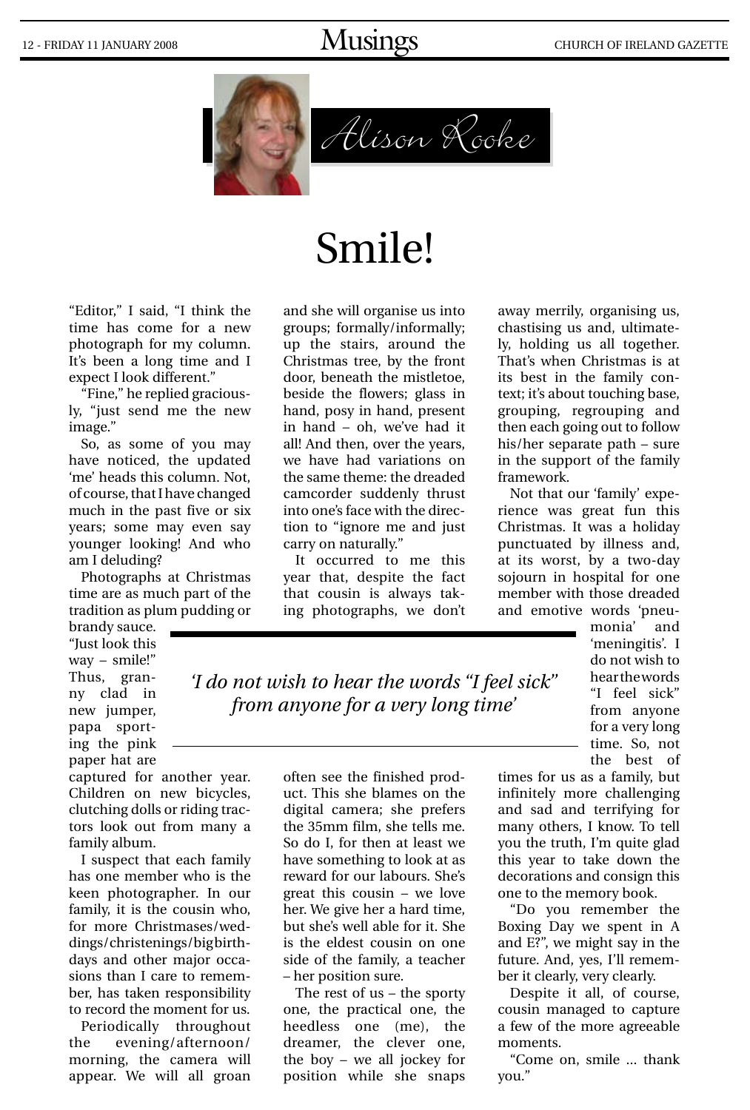# 12 - FRIDAY 11 JANUARY 2008 MUSINGS MUSINGS CHURCH OF IRELAND GAZETTE



# Alison Rooke

# Smile!

"Editor," I said, "I think the time has come for a new photograph for my column. It's been a long time and I expect I look different."

"Fine," he replied graciously, "just send me the new image."

So, as some of you may have noticed, the updated 'me' heads this column. Not, of course, that I have changed much in the past five or six years; some may even say younger looking! And who am I deluding?

Photographs at Christmas time are as much part of the tradition as plum pudding or

brandy sauce. "Just look this way – smile!" Thus, granny clad in new jumper, papa sporting the pink paper hat are

captured for another year. Children on new bicycles, clutching dolls or riding tractors look out from many a family album.

I suspect that each family has one member who is the keen photographer. In our family, it is the cousin who, for more Christmases/weddings/christenings/bigbirthdays and other major occasions than I care to remember, has taken responsibility to record the moment for us.

Periodically throughout the evening/afternoon/ morning, the camera will appear. We will all groan

and she will organise us into groups; formally/informally; up the stairs, around the Christmas tree, by the front door, beneath the mistletoe, beside the flowers; glass in hand, posy in hand, present in hand – oh, we've had it all! And then, over the years, we have had variations on the same theme: the dreaded camcorder suddenly thrust into one's face with the direction to "ignore me and just carry on naturally."

It occurred to me this year that, despite the fact that cousin is always taking photographs, we don't

away merrily, organising us, chastising us and, ultimately, holding us all together. That's when Christmas is at its best in the family context; it's about touching base, grouping, regrouping and then each going out to follow his/her separate path – sure in the support of the family framework.

Not that our 'family' experience was great fun this Christmas. It was a holiday punctuated by illness and, at its worst, by a two-day sojourn in hospital for one member with those dreaded and emotive words 'pneu-

monia' and 'meningitis'. I do not wish to hear the words "I feel sick" from anyone for a very long time. So, not the best of

*'I do not wish to hear the words "I feel sick" from anyone for a very long time'*

> often see the finished product. This she blames on the digital camera; she prefers the 35mm film, she tells me. So do I, for then at least we have something to look at as reward for our labours. She's great this cousin – we love her. We give her a hard time, but she's well able for it. She is the eldest cousin on one side of the family, a teacher – her position sure.

> The rest of us – the sporty one, the practical one, the heedless one (me), the dreamer, the clever one, the boy – we all jockey for position while she snaps

times for us as a family, but infinitely more challenging and sad and terrifying for many others, I know. To tell you the truth, I'm quite glad this year to take down the decorations and consign this one to the memory book.

"Do you remember the Boxing Day we spent in A and E?", we might say in the future. And, yes, I'll remember it clearly, very clearly.

Despite it all, of course, cousin managed to capture a few of the more agreeable moments.

"Come on, smile ... thank you."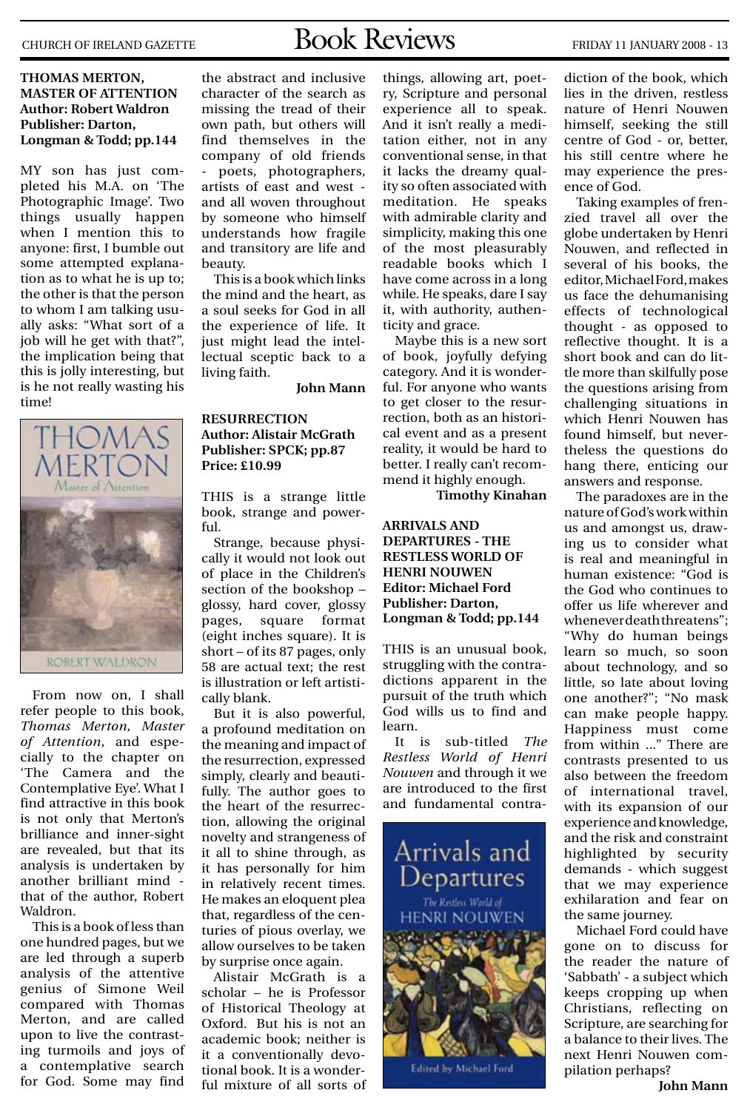# CHURCH OF IRELAND GAZETTE  $\text{Book} \text{ Revieurs}$  FRIDAY 11 JANUARY 2008 - 13

#### **THOMAS MERTON, MASTER OF ATTENTION Author: Robert Waldron Publisher: Darton, Longman & Todd; pp.144**

My son has just completed his M.A. on 'The Photographic Image'. Two things usually happen when I mention this to anyone: first, I bumble out some attempted explanation as to what he is up to; the other is that the person to whom I am talking usually asks: "What sort of a job will he get with that?", the implication being that this is jolly interesting, but is he not really wasting his time!



From now on, I shall refer people to this book, *Thomas Merton, Master of Attention*, and especially to the chapter on 'The Camera and the Contemplative Eye'. What I find attractive in this book is not only that Merton's brilliance and inner-sight are revealed, but that its analysis is undertaken by another brilliant mind that of the author, Robert Waldron.

This is a book of less than one hundred pages, but we are led through a superb analysis of the attentive genius of Simone Weil compared with Thomas Merton, and are called upon to live the contrasting turmoils and joys of a contemplative search for God. Some may find

the abstract and inclusive character of the search as missing the tread of their own path, but others will find themselves in the company of old friends poets, photographers, artists of east and west and all woven throughout by someone who himself understands how fragile and transitory are life and beauty.

This is a book which links the mind and the heart, as a soul seeks for God in all the experience of life. It just might lead the intellectual sceptic back to a living faith.

**John Mann**

#### **RESURRECTION Author: Alistair McGrath Publisher: SPCK; pp.87 Price: £10.99**

This is a strange little book, strange and powerful.

Strange, because physically it would not look out of place in the Children's section of the bookshop – glossy, hard cover, glossy pages, square format (eight inches square). It is short – of its 87 pages, only 58 are actual text; the rest is illustration or left artistically blank.

But it is also powerful, a profound meditation on the meaning and impact of the resurrection, expressed simply, clearly and beautifully. The author goes to the heart of the resurrection, allowing the original novelty and strangeness of it all to shine through, as it has personally for him in relatively recent times. He makes an eloquent plea that, regardless of the centuries of pious overlay, we allow ourselves to be taken by surprise once again.

Alistair McGrath is a scholar – he is Professor of Historical Theology at Oxford. But his is not an academic book; neither is it a conventionally devotional book. It is a wonderful mixture of all sorts of

things, allowing art, poetry, Scripture and personal experience all to speak. And it isn't really a meditation either, not in any conventional sense, in that it lacks the dreamy quality so often associated with meditation. He speaks with admirable clarity and simplicity, making this one of the most pleasurably readable books which I have come across in a long while. He speaks, dare I say it, with authority, authenticity and grace.

Maybe this is a new sort of book, joyfully defying category. And it is wonderful. For anyone who wants to get closer to the resurrection, both as an historical event and as a present reality, it would be hard to better. I really can't recommend it highly enough.

**Timothy Kinahan**

**ARRIVALS AND DEPARTURES - THE RESTLESS WORLD OF HENRI NOUWEN Editor: Michael Ford Publisher: Darton, Longman & Todd; pp.144**

This is an unusual book, struggling with the contradictions apparent in the pursuit of the truth which God wills us to find and learn.

It is sub-titled *The Restless World of Henri Nouwen* and through it we are introduced to the first and fundamental contra-



Edited by Michael Ford

diction of the book, which lies in the driven, restless nature of Henri Nouwen himself, seeking the still centre of God - or, better, his still centre where he may experience the presence of God.

Taking examples of frenzied travel all over the globe undertaken by Henri Nouwen, and reflected in several of his books, the editor, Michael Ford, makes us face the dehumanising effects of technological thought - as opposed to reflective thought. It is a short book and can do little more than skilfully pose the questions arising from challenging situations in which Henri Nouwen has found himself, but nevertheless the questions do hang there, enticing our answers and response.

The paradoxes are in the nature of God's work within us and amongst us, drawing us to consider what is real and meaningful in human existence: "God is the God who continues to offer us life wherever and whenever death threatens"; "Why do human beings learn so much, so soon about technology, and so little, so late about loving one another?"; "No mask can make people happy. Happiness must come from within ..." There are contrasts presented to us also between the freedom of international travel, with its expansion of our experience and knowledge, and the risk and constraint highlighted by security demands - which suggest that we may experience exhilaration and fear on the same journey.

Michael Ford could have gone on to discuss for the reader the nature of 'Sabbath' - a subject which keeps cropping up when Christians, reflecting on Scripture, are searching for a balance to their lives. The next Henri Nouwen compilation perhaps?

**John Mann**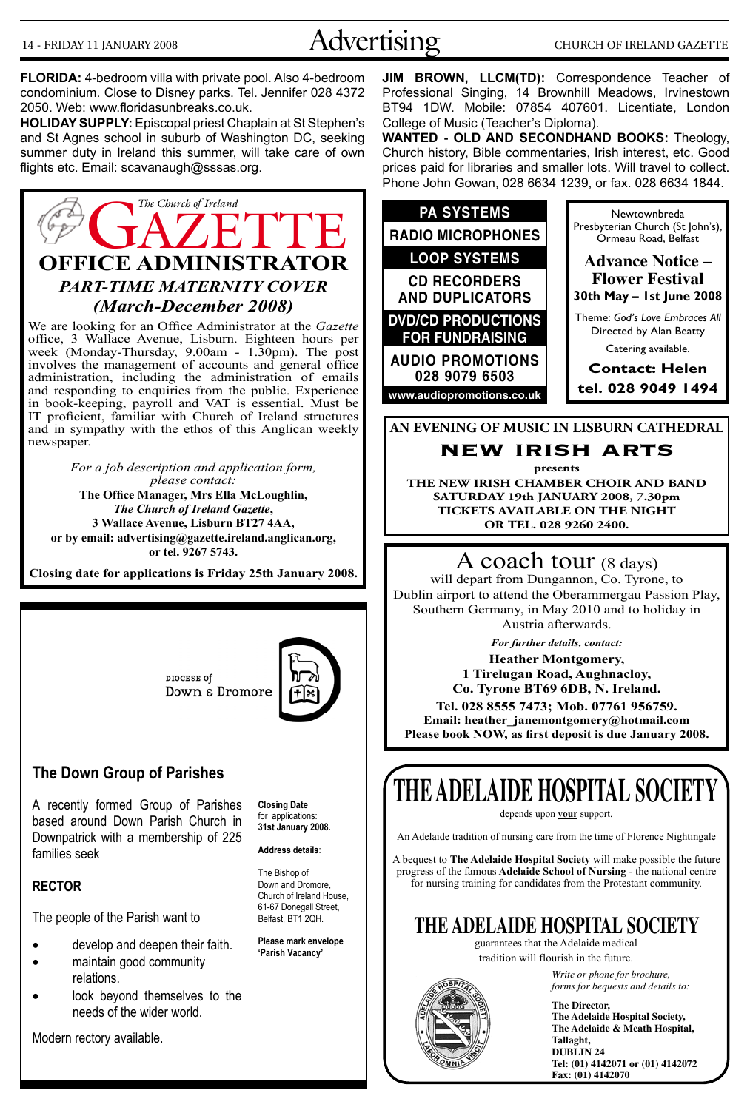# 14 - FRIDAY 11 JANUARY 2008 Advertising CHURCH OF IRELAND GAZETTE

**FLORIDA:** 4-bedroom villa with private pool. Also 4-bedroom condominium. Close to Disney parks. Tel. Jennifer 028 4372 2050. Web: www.floridasunbreaks.co.uk.

**HOLIDAY SUPPLY:** Episcopal priest Chaplain at St Stephen's and St Agnes school in suburb of Washington DC, seeking summer duty in Ireland this summer, will take care of own flights etc. Email: scavanaugh@sssas.org.



We are looking for an Office Administrator at the *Gazette* office, 3 Wallace Avenue, Lisburn. Eighteen hours per week (Monday-Thursday, 9.00am - 1.30pm). The post involves the management of accounts and general office administration, including the administration of emails and responding to enquiries from the public. Experience in book-keeping, payroll and VAT is essential. Must be IT proficient, familiar with Church of Ireland structures and in sympathy with the ethos of this Anglican weekly newspaper.

*For a job description and application form, please contact:*  **The Office Manager, Mrs Ella McLoughlin,**  *The Church of Ireland Gazette***, 3 Wallace Avenue, Lisburn BT27 4AA, or by email: advertising@gazette.ireland.anglican.org, or tel. 9267 5743.**

**Closing date for applications is Friday 25th January 2008.**

DIOCESE of Down & Dromore



#### **The Down Group of Parishes**

A recently formed Group of Parishes based around Down Parish Church in Downpatrick with a membership of 225 families seek

**Closing Date**  for applications: **31st January 2008.** 

#### **RECTOR**

The people of the Parish want to

- develop and deepen their faith.
- maintain good community
- relations.
- look beyond themselves to the needs of the wider world.

Modern rectory available.

**Address details**:

The Bishop of Down and Dromore, Church of Ireland House, 61-67 Donegall Street, Belfast, BT1 2QH.

**Please mark envelope 'Parish Vacancy'** 

**JIM BROWN, LLCM(TD):** Correspondence Teacher of Professional Singing, 14 Brownhill Meadows, Irvinestown BT94 1DW. Mobile: 07854 407601. Licentiate, London College of Music (Teacher's Diploma).

**WANTED - OLD AND SECONDHAND BOOKS:** Theology, Church history, Bible commentaries, Irish interest, etc. Good prices paid for libraries and smaller lots. Will travel to collect. Phone John Gowan, 028 6634 1239, or fax. 028 6634 1844.



**AN EVENING OF MUSIC IN LISBURN CATHEDRAL**

**new irish arts**

**presents THE NEW IRISH CHAMBER CHOIR AND BAND SATURDAY 19th JANUARY 2008, 7.30pm TICKETS AVAILABLE ON THE NIGHT OR tel. 028 9260 2400.**

#### A coach tour (8 days)

will depart from Dungannon, Co. Tyrone, to Dublin airport to attend the Oberammergau Passion Play, Southern Germany, in May 2010 and to holiday in Austria afterwards.

*For further details, contact:* **Heather Montgomery, 1 Tirelugan Road, Aughnacloy, Co. Tyrone BT69 6DB, N. Ireland. Tel. 028 8555 7473; Mob. 07761 956759. Email: heather\_janemontgomery@hotmail.com Please book NOW, as first deposit is due January 2008.**

# **THE ADELAIDE HOSPITAL SOCIETY**

depends upon **your** support.

An Adelaide tradition of nursing care from the time of Florence Nightingale

A bequest to **The Adelaide Hospital Society** will make possible the future progress of the famous **Adelaide School of Nursing** - the national centre for nursing training for candidates from the Protestant community.

### **THE ADELAIDE HOSPITAL SOCIETY**

guarantees that the Adelaide medical tradition will flourish in the future.



*Write or phone for brochure, forms for bequests and details to:*

**The Director, The Adelaide Hospital Society, The Adelaide & Meath Hospital, Tallaght, DUBLIN 24 Tel: (01) 4142071 or (01) 4142072 Fax: (01) 4142070**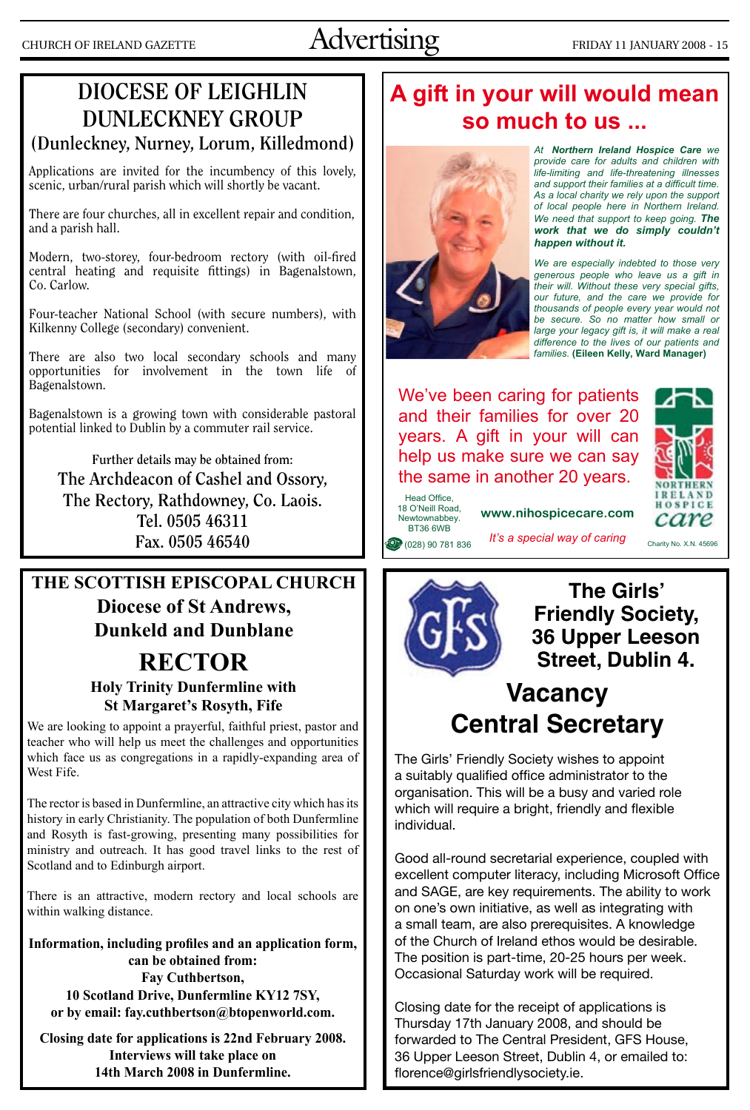# CHURCH OF IRELAND GAZETTE  $\overline{\text{Advertising}}$  FRIDAY 11 JANUARY 2008 - 15

### **DIOCESE OF LEIGHLIN DUNLECKNEY GROUP (Dunleckney, Nurney, Lorum, Killedmond)**

Applications are invited for the incumbency of this lovely, scenic, urban/rural parish which will shortly be vacant.

There are four churches, all in excellent repair and condition, and a parish hall.

Modern, two-storey, four-bedroom rectory (with oil-fired central heating and requisite fittings) in Bagenalstown, Co. Carlow.

Four-teacher National School (with secure numbers), with Kilkenny College (secondary) convenient.

There are also two local secondary schools and many opportunities for involvement in the town life of Bagenalstown.

Bagenalstown is a growing town with considerable pastoral potential linked to Dublin by a commuter rail service.

**Further details may be obtained from: The Archdeacon of Cashel and Ossory, The Rectory, Rathdowney, Co. Laois. Tel. 0505 46311 Fax. 0505 46540**

### **RECTOR THE SCOTTISH EPISCOPAL CHURCH Diocese of St Andrews, Dunkeld and Dunblane**

#### **Holy Trinity Dunfermline with St Margaret's Rosyth, Fife**

We are looking to appoint a prayerful, faithful priest, pastor and teacher who will help us meet the challenges and opportunities which face us as congregations in a rapidly-expanding area of West Fife.

The rector is based in Dunfermline, an attractive city which has its history in early Christianity. The population of both Dunfermline and Rosyth is fast-growing, presenting many possibilities for ministry and outreach. It has good travel links to the rest of Scotland and to Edinburgh airport.

There is an attractive, modern rectory and local schools are within walking distance.

**Information, including profiles and an application form, can be obtained from: Fay Cuthbertson, 10 Scotland Drive, Dunfermline KY12 7SY, or by email: fay.cuthbertson@btopenworld.com.** 

**Closing date for applications is 22nd February 2008. Interviews will take place on 14th March 2008 in Dunfermline.**

# A gift in your will would mean so much to us ...



At Northern Ireland Hospice Care we provide care for adults and children with life-limiting and life-threatening illnesses and support their families at a difficult time. As a local charity we rely upon the support of local people here in Northern Ireland. We need that support to keep going. The work that we do simply couldn't happen without it.

We are especially indebted to those very generous people who leave us a gift in<br>their will. Without these very special gifts, our future, and the care we provide for thousands of people every year would not be secure. So no matter how small or large your legacy gift is, it will make a real difference to the lives of our patients and families. (Eileen Kelly, Ward Manager)

We've been caring for patients and their families for over 20 years. A gift in your will can help us make sure we can say the same in another 20 years.



Newtownabbey. **BT36 6WB** (028) 90 781 836 It's a special way of caring

Head Office 18 O'Neill Road,

www.nihospicecare.com

Charity No. X.N. 45696



**The Girls' Friendly Society, 36 Upper Leeson Street, Dublin 4.**

## **Vacancy Central Secretary**

The Girls' Friendly Society wishes to appoint a suitably qualified office administrator to the organisation. This will be a busy and varied role which will require a bright, friendly and flexible individual.

Good all-round secretarial experience, coupled with excellent computer literacy, including Microsoft Office and SAGE, are key requirements. The ability to work on one's own initiative, as well as integrating with a small team, are also prerequisites. A knowledge of the Church of Ireland ethos would be desirable. The position is part-time, 20-25 hours per week. Occasional Saturday work will be required.

Closing date for the receipt of applications is Thursday 17th January 2008, and should be forwarded to The Central President, GFS House, 36 Upper Leeson Street, Dublin 4, or emailed to: florence@girlsfriendlysociety.ie.